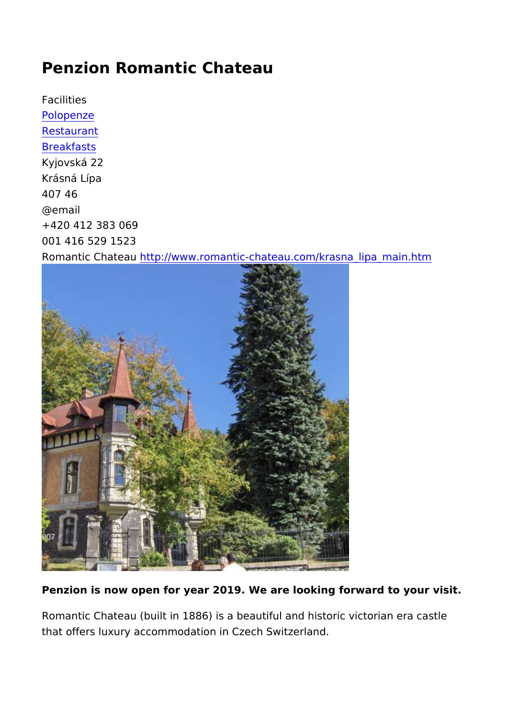## Penzion Romantic Chateau

Facilities [Polopen](https://www.ceskesvycarsko.cz/cs/taxonomy/term/188)ze [Restaur](https://www.ceskesvycarsko.cz/en/taxonomy/term/48)ant [Breakfa](https://www.ceskesvycarsko.cz/en/taxonomy/term/53)sts Kyjovská 22 Krásná Lípa 407 46 @email +420 412 383 069 001 416 529 1523 Romantic Chahetapu://www.romantic-chateau.com/krasna\_lipa\_main

Penzion is now open for year 2019. We are looking forward to y

Romantic Chateau (built in 1886) is a beautiful and historic vic that offers luxury accommodation in Czech Switzerland.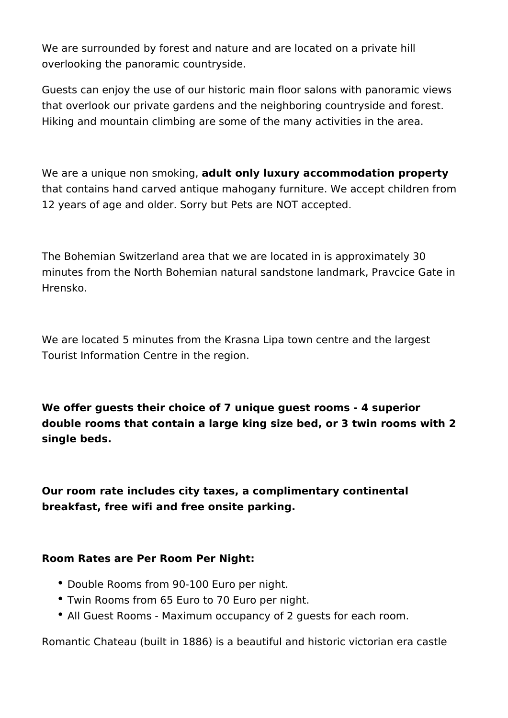We are surrounded by forest and nature and are located on a private hill overlooking the panoramic countryside.

Guests can enjoy the use of our historic main floor salons with panoramic views that overlook our private gardens and the neighboring countryside and forest. Hiking and mountain climbing are some of the many activities in the area.

We are a unique non smoking, **adult only luxury accommodation property** that contains hand carved antique mahogany furniture. We accept children from 12 years of age and older. Sorry but Pets are NOT accepted.

The Bohemian Switzerland area that we are located in is approximately 30 minutes from the North Bohemian natural sandstone landmark, Pravcice Gate in Hrensko.

We are located 5 minutes from the Krasna Lipa town centre and the largest Tourist Information Centre in the region.

**We offer guests their choice of 7 unique guest rooms - 4 superior double rooms that contain a large king size bed, or 3 twin rooms with 2 single beds.** 

**Our room rate includes city taxes, a complimentary continental breakfast, free wifi and free onsite parking.**

## **Room Rates are Per Room Per Night:**

- Double Rooms from 90-100 Euro per night.
- Twin Rooms from 65 Euro to 70 Euro per night.
- All Guest Rooms Maximum occupancy of 2 guests for each room.

Romantic Chateau (built in 1886) is a beautiful and historic victorian era castle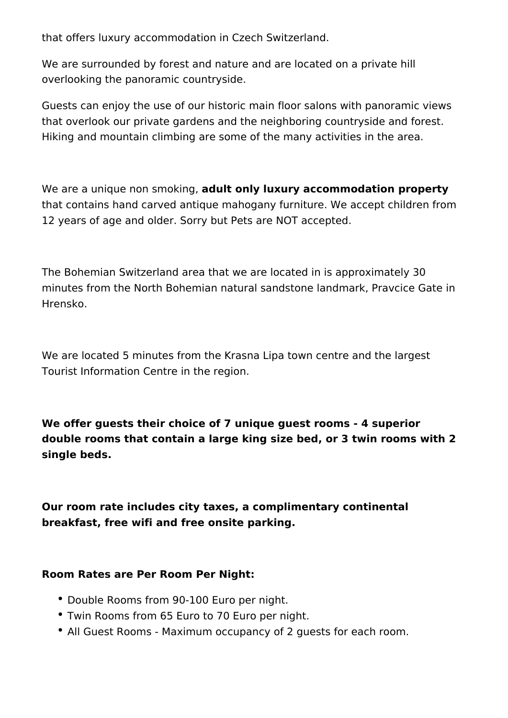that offers luxury accommodation in Czech Switzerland.

We are surrounded by forest and nature and are located on a private hill overlooking the panoramic countryside.

Guests can enjoy the use of our historic main floor salons with panoramic views that overlook our private gardens and the neighboring countryside and forest. Hiking and mountain climbing are some of the many activities in the area.

We are a unique non smoking, **adult only luxury accommodation property** that contains hand carved antique mahogany furniture. We accept children from 12 years of age and older. Sorry but Pets are NOT accepted.

The Bohemian Switzerland area that we are located in is approximately 30 minutes from the North Bohemian natural sandstone landmark, Pravcice Gate in Hrensko.

We are located 5 minutes from the Krasna Lipa town centre and the largest Tourist Information Centre in the region.

**We offer guests their choice of 7 unique guest rooms - 4 superior double rooms that contain a large king size bed, or 3 twin rooms with 2 single beds.** 

**Our room rate includes city taxes, a complimentary continental breakfast, free wifi and free onsite parking.**

## **Room Rates are Per Room Per Night:**

- Double Rooms from 90-100 Euro per night.
- Twin Rooms from 65 Euro to 70 Euro per night.
- All Guest Rooms Maximum occupancy of 2 guests for each room.